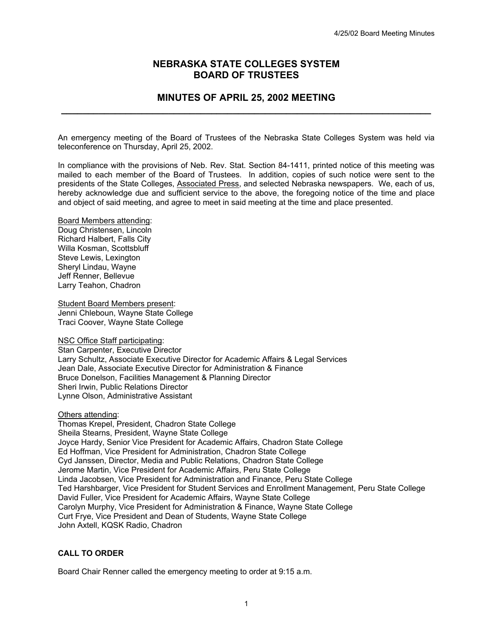# **NEBRASKA STATE COLLEGES SYSTEM BOARD OF TRUSTEES**

# **MINUTES OF APRIL 25, 2002 MEETING \_\_\_\_\_\_\_\_\_\_\_\_\_\_\_\_\_\_\_\_\_\_\_\_\_\_\_\_\_\_\_\_\_\_\_\_\_\_\_\_\_\_\_\_\_\_\_\_\_\_\_\_\_\_\_\_\_\_\_\_\_\_\_\_\_\_\_\_\_**

An emergency meeting of the Board of Trustees of the Nebraska State Colleges System was held via teleconference on Thursday, April 25, 2002.

In compliance with the provisions of Neb. Rev. Stat. Section 84-1411, printed notice of this meeting was mailed to each member of the Board of Trustees. In addition, copies of such notice were sent to the presidents of the State Colleges, Associated Press, and selected Nebraska newspapers. We, each of us, hereby acknowledge due and sufficient service to the above, the foregoing notice of the time and place and object of said meeting, and agree to meet in said meeting at the time and place presented.

Board Members attending: Doug Christensen, Lincoln Richard Halbert, Falls City Willa Kosman, Scottsbluff Steve Lewis, Lexington Sheryl Lindau, Wayne Jeff Renner, Bellevue Larry Teahon, Chadron

Student Board Members present: Jenni Chleboun, Wayne State College Traci Coover, Wayne State College

NSC Office Staff participating: Stan Carpenter, Executive Director Larry Schultz, Associate Executive Director for Academic Affairs & Legal Services Jean Dale, Associate Executive Director for Administration & Finance Bruce Donelson, Facilities Management & Planning Director Sheri Irwin, Public Relations Director Lynne Olson, Administrative Assistant

Others attending: Thomas Krepel, President, Chadron State College Sheila Stearns, President, Wayne State College Joyce Hardy, Senior Vice President for Academic Affairs, Chadron State College Ed Hoffman, Vice President for Administration, Chadron State College Cyd Janssen, Director, Media and Public Relations, Chadron State College Jerome Martin, Vice President for Academic Affairs, Peru State College Linda Jacobsen, Vice President for Administration and Finance, Peru State College Ted Harshbarger, Vice President for Student Services and Enrollment Management, Peru State College David Fuller, Vice President for Academic Affairs, Wayne State College Carolyn Murphy, Vice President for Administration & Finance, Wayne State College Curt Frye, Vice President and Dean of Students, Wayne State College John Axtell, KQSK Radio, Chadron

### **CALL TO ORDER**

Board Chair Renner called the emergency meeting to order at 9:15 a.m.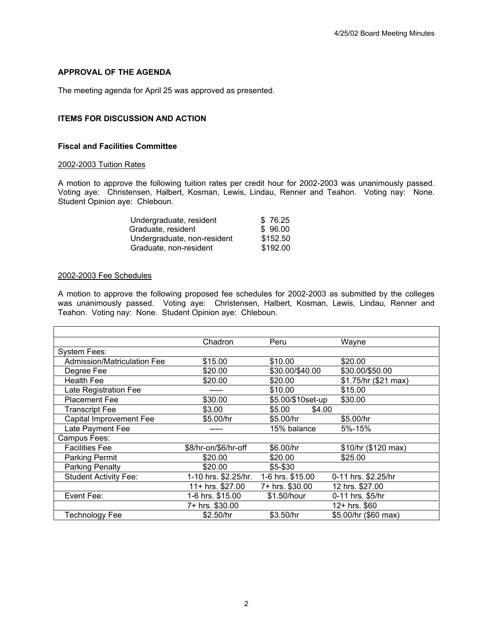## **APPROVAL OF THE AGENDA**

The meeting agenda for April 25 was approved as presented.

### **ITEMS FOR DISCUSSION AND ACTION**

### **Fiscal and Facilities Committee**

#### 2002-2003 Tuition Rates

A motion to approve the following tuition rates per credit hour for 2002-2003 was unanimously passed. Voting aye: Christensen, Halbert, Kosman, Lewis, Lindau, Renner and Teahon. Voting nay: None. Student Opinion aye: Chleboun.

| Undergraduate, resident     | \$76.25  |
|-----------------------------|----------|
| Graduate, resident          | \$96.00  |
| Undergraduate, non-resident | \$152.50 |
| Graduate, non-resident      | \$192.00 |

#### 2002-2003 Fee Schedules

A motion to approve the following proposed fee schedules for 2002-2003 as submitted by the colleges was unanimously passed. Voting aye: Christensen, Halbert, Kosman, Lewis, Lindau, Renner and Teahon. Voting nay: None. Student Opinion aye: Chleboun.

|                                    | Chadron              | Peru              | Wayne                |
|------------------------------------|----------------------|-------------------|----------------------|
| <b>System Fees:</b>                |                      |                   |                      |
| <b>Admission/Matriculation Fee</b> | \$15.00              | \$10.00           | \$20.00              |
| Degree Fee                         | \$20.00              | \$30.00/\$40.00   | \$30.00/\$50.00      |
| <b>Health Fee</b>                  | \$20.00              | \$20.00           | \$1.75/hr (\$21 max) |
| Late Registration Fee              |                      | \$10.00           | \$15.00              |
| <b>Placement Fee</b>               | \$30.00              | \$5.00/\$10set-up | \$30.00              |
| <b>Transcript Fee</b>              | \$3.00               | \$5.00<br>\$4.00  |                      |
| Capital Improvement Fee            | \$5.00/hr            | \$5.00/hr         | \$5.00/hr            |
| Late Payment Fee                   |                      | 15% balance       | 5%-15%               |
| Campus Fees:                       |                      |                   |                      |
| <b>Facilities Fee</b>              | \$8/hr-on/\$6/hr-off | \$6.00/hr         | \$10/hr (\$120 max)  |
| <b>Parking Permit</b>              | \$20.00              | \$20.00           | \$25.00              |
| <b>Parking Penalty</b>             | \$20.00              | \$5-\$30          |                      |
| <b>Student Activity Fee:</b>       | 1-10 hrs. \$2.25/hr. | 1-6 hrs. \$15.00  | 0-11 hrs. \$2.25/hr  |
|                                    | 11+ hrs. \$27.00     | 7+ hrs. \$30.00   | 12 hrs. \$27.00      |
| Event Fee:                         | 1-6 hrs. \$15.00     | \$1.50/hour       | 0-11 hrs. \$5/hr     |
|                                    | 7+ hrs. \$30.00      |                   | 12+ hrs. \$60        |
| <b>Technology Fee</b>              | \$2.50/hr            | \$3.50/hr         | \$5.00/hr (\$60 max) |